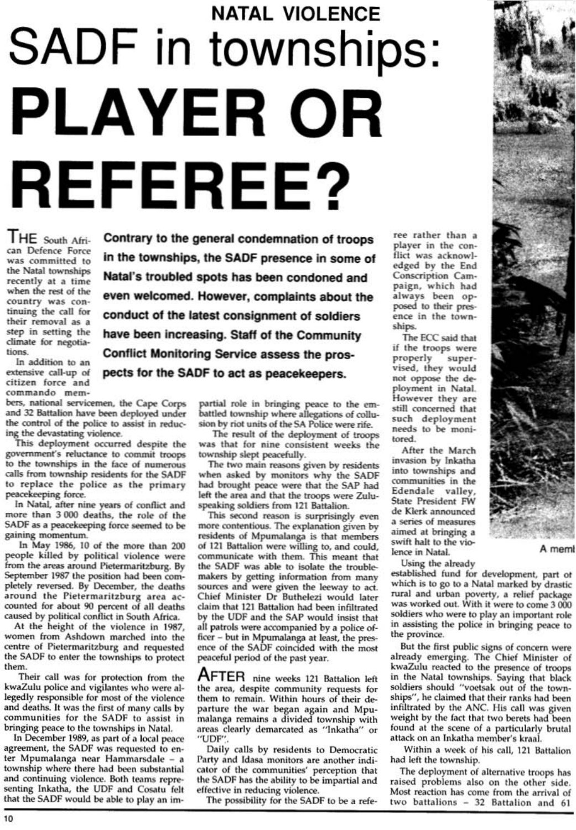## **NATAL VIOLENCE** SADF in townships: PLAYER OR **REFEREE?**

THE South African Defence Force was committed to the Natal townships recently at a time when the rest of the country was continuing the call for their removal as a step in setting the climate for negotiations.

In addition to an extensive call-up of citizen force and commando mem-

bers, national servicemen, the Cape Corps and 32 Battalion have been deployed under the control of the police to assist in reducing the devastating violence.

This deployment occurred despite the government's reluctance to commit troops to the townships in the face of numerous calls from township residents for the SADF to replace the police as the primary peacekeeping force.

In Natal, after nine years of conflict and more than 3 000 deaths, the role of the SADF as a peacekeeping force seemed to be gaining momentum.

In May 1986, 10 of the more than 200 people killed by political violence were from the areas around Pietermaritzburg. By September 1987 the position had been completely reversed. By December, the deaths around the Pietermaritzburg area accounted for about 90 percent of all deaths caused by political conflict in South Africa.

At the height of the violence in 1987, women from Ashdown marched into the centre of Pietermaritzburg and requested the SADF to enter the townships to protect them. Their call was for protection from the kwaZulu police and vigilantes who were allegedly responsible for most of the violence and deaths. It was the first of many calls by communities for the SADF to assist in bringing peace to the townships in Natal. In December 1989, as part of a local peace agreement, the SADF was requested to enter Mpumalanga near Hammarsdale - a township where there had been substantial and continuing violence. Both teams representing Inkatha, the UDF and Cosatu felt that the SADF would be able to play an im-

Contrary to the general condemnation of troops in the townships, the SADF presence in some of Natal's troubled spots has been condoned and even welcomed. However, complaints about the conduct of the latest consignment of soldiers have been increasing. Staff of the Community Conflict Monitoring Service assess the prospects for the SADF to act as peacekeepers.

> partial role in bringing peace to the embattled township where allegations of collusion by riot units of the SA Police were rife.

The result of the deployment of troops was that for nine consistent weeks the township slept peacefully.

The two main reasons given by residents when asked by monitors why the SADF had brought peace were that the SAP had left the area and that the troops were Zuluspeaking soldiers from 121 Battalion.

This second reason is surprisingly even more contentious. The explanation given by residents of Mpumalanga is that members of 121 Battalion were willing to, and could, communicate with them. This meant that the SADF was able to isolate the troublemakers by getting information from many sources and were given the leeway to act. Chief Minister Dr Buthelezi would later claim that 121 Battalion had been infiltrated by the UDF and the SAP would insist that all patrols were accompanied by a police officer - but in Mpumalanga at least, the pres-

ree rather than a player in the conflict was acknowledged by the End Conscription Campaign, which had always been opposed to their presence in the townships.

The ECC said that if the troops were properly supervised, they would not oppose the deployment in Natal. However they are still concerned that such deployment needs to be monitored.

After the March invasion by Inkatha into townships and communities in the Edendale valley, State President FW de Klerk announced a series of measures aimed at bringing a swift halt to the violence in Natal.

Using the already

established fund for development, part of which is to go to a Natal marked by drastic rural and urban poverty, a relief package was worked out. With it were to come 3 000 soldiers who were to play an important role in assisting the police in bringing peace to the province.

But the first public signs of concern were already emerging. The Chief Minister of kwaZulu reacted to the presence of troops in the Natal townships. Saying that black soldiers should "voetsak out of the townships", he claimed that their ranks had been infiltrated by the ANC. His call was given weight by the fact that two berets had been found at the scene of a particularly brutal attack on an Inkatha member's kraal.



A memi

ence of the SADF coincided with the most peaceful period of the past year.

AFTER nine weeks 121 Battalion left the area, despite community requests for them to remain. Within hours of their departure the war began again and Mpumalanga remains a divided township with areas clearly demarcated as "Inkatha" or "UDF".

Daily calls by residents to Democratic Party and Idasa monitors are another indicator of the communities' perception that the SADF has the ability to be impartial and effective in reducing violence.

The possibility for the SADF to be a refe-

Within a week of his call, 121 Battalion had left the township.

The deployment of alternative troops has raised problems also on the other side. Most reaction has come from the arrival of two battalions - 32 Battalion and 61